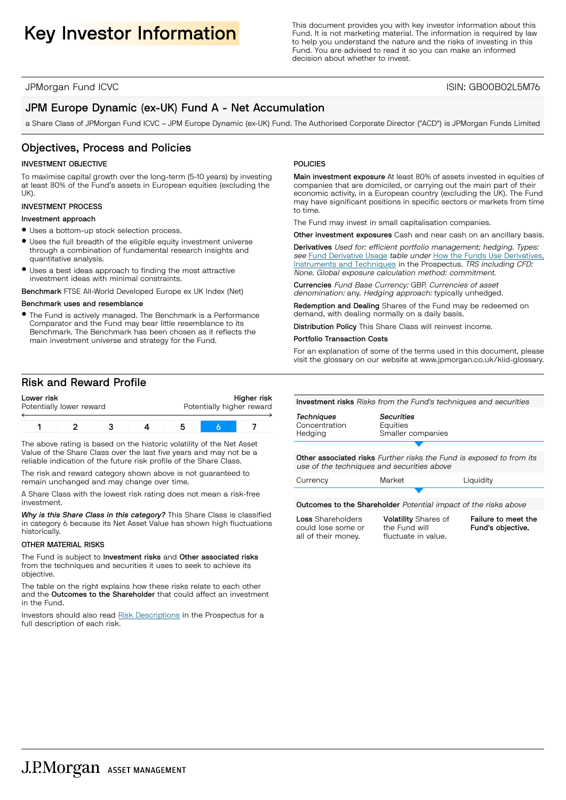Key Investor Information **Information**<br>
Fund. It is not marketing material. The information is required by law<br>
to below understand the pature and the risks of investing in this Fund. It is not marketing material. The information is required by law to help you understand the nature and the risks of investing in this Fund. You are advised to read it so you can make an informed decision about whether to invest.

## JPMorgan Fund ICVC ISIN: GB00B02L5M76

# JPM Europe Dynamic (ex-UK) Fund A - Net Accumulation

a Share Class of JPMorgan Fund ICVC – JPM Europe Dynamic (ex-UK) Fund. The Authorised Corporate Director ("ACD") is JPMorgan Funds Limited

## Objectives, Process and Policies

### INVESTMENT OBJECTIVE

To maximise capital growth over the long-term (5-10 years) by investing at least 80% of the Fund's assets in European equities (excluding the UK)

### INVESTMENT PROCESS

#### Investment approach

- $\bullet$  Uses a bottom-up stock selection process.
- $\bullet$  Uses the full breadth of the eligible equity investment universe through a combination of fundamental research insights and quantitative analysis.
- $\bullet$  Uses a best ideas approach to finding the most attractive investment ideas with minimal constraints.

Benchmark FTSE All-World Developed Europe ex UK Index (Net)

#### Benchmark uses and resemblance

• The Fund is actively managed. The Benchmark is a Performance Comparator and the Fund may bear little resemblance to its Benchmark. The Benchmark has been chosen as it reflects the main investment universe and strategy for the Fund.

## POLICIES

Main investment exposure At least 80% of assets invested in equities of companies that are domiciled, or carrying out the main part of their economic activity, in a European country (excluding the UK). The Fund may have significant positions in specific sectors or markets from time to time.

The Fund may invest in small capitalisation companies.

Other investment exposures Cash and near cash on an ancillary basis.

Derivatives Used for: efficient portfolio management; hedging. Types: see Fund [Derivative](https://am.jpmorgan.com/gb/en/asset-management/adv/products/fund-explorer/oeics) Usage table under How the Funds Use [Derivatives,](https://am.jpmorgan.com/gb/en/asset-management/adv/products/fund-explorer/oeics) [Instruments](https://am.jpmorgan.com/gb/en/asset-management/adv/products/fund-explorer/oeics) and Techniques in the Prospectus. TRS including CFD: None. Global exposure calculation method: commitment.

Currencies Fund Base Currency: GBP. Currencies of asset denomination: any. Hedging approach: typically unhedged.

Redemption and Dealing Shares of the Fund may be redeemed on demand, with dealing normally on a daily basis.

Distribution Policy This Share Class will reinvest income.

#### Portfolio Transaction Costs

For an explanation of some of the terms used in this document, please visit the glossary on our website at [www.jpmorgan.co.uk/kiid-glossary.](www.jpmorgan.co.uk/kiid-glossary)

# Risk and Reward Profile

| Lower risk               |  |  |  | Higher risk               |  |  |
|--------------------------|--|--|--|---------------------------|--|--|
| Potentially lower reward |  |  |  | Potentially higher reward |  |  |
|                          |  |  |  |                           |  |  |
|                          |  |  |  |                           |  |  |

The above rating is based on the historic volatility of the Net Asset Value of the Share Class over the last five years and may not be a reliable indication of the future risk profile of the Share Class.

The risk and reward category shown above is not guaranteed to remain unchanged and may change over time.

A Share Class with the lowest risk rating does not mean a risk-free investment.

*Why is this Share Class in this category?* This Share Class is classified in category 6 because its Net Asset Value has shown high fluctuations historically.

### OTHER MATERIAL RISKS

The Fund is subject to Investment risks and Other associated risks from the techniques and securities it uses to seek to achieve its objective.

The table on the right explains how these risks relate to each other and the Outcomes to the Shareholder that could affect an investment in the Fund.

Investors should also read Risk [Descriptions](https://am.jpmorgan.com/gb/en/asset-management/adv/products/fund-explorer/oeics) in the Prospectus for a full description of each risk.

Investment risks Risks from the Fund's techniques and securities

*Techniques* Concentration **Hedging** 

*Securities* **Equities** Smaller companies S

Other associated risks Further risks the Fund is exposed to from its use of the techniques and securities above

S

Currency Market Liquidity

Outcomes to the Shareholder Potential impact of the risks above

Loss Shareholders could lose some or all of their money.

Volatility Shares of the Fund will fluctuate in value.

Failure to meet the Fund's objective.